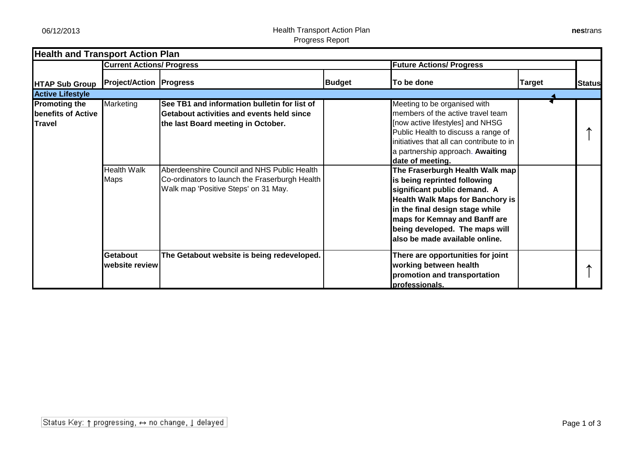06/12/2013 Health Transport Action Plan Progress Report

|                                                                    | <b>Current Actions/ Progress</b>  |                                                                                                                                       |               | <b>Future Actions/ Progress</b>                                                                                                                                                                                                                                                    |               |               |
|--------------------------------------------------------------------|-----------------------------------|---------------------------------------------------------------------------------------------------------------------------------------|---------------|------------------------------------------------------------------------------------------------------------------------------------------------------------------------------------------------------------------------------------------------------------------------------------|---------------|---------------|
| <b>HTAP Sub Group</b>                                              | <b>Project/Action Progress</b>    |                                                                                                                                       | <b>Budget</b> | To be done                                                                                                                                                                                                                                                                         | <b>Target</b> | <b>Status</b> |
| <b>Active Lifestyle</b>                                            |                                   |                                                                                                                                       |               |                                                                                                                                                                                                                                                                                    |               |               |
| <b>Promoting the</b><br><b>benefits of Active</b><br><b>Travel</b> | Marketing                         | See TB1 and information bulletin for list of<br>Getabout activities and events held since<br>the last Board meeting in October.       |               | Meeting to be organised with<br>members of the active travel team<br>[now active lifestyles] and NHSG<br>Public Health to discuss a range of<br>initiatives that all can contribute to in<br>a partnership approach. Awaiting<br>date of meeting.                                  |               |               |
|                                                                    | <b>Health Walk</b><br><b>Maps</b> | Aberdeenshire Council and NHS Public Health<br>Co-ordinators to launch the Fraserburgh Health<br>Walk map 'Positive Steps' on 31 May. |               | The Fraserburgh Health Walk map<br>is being reprinted following<br>significant public demand. A<br><b>Health Walk Maps for Banchory is</b><br>in the final design stage while<br>maps for Kemnay and Banff are<br>being developed. The maps will<br>also be made available online. |               |               |
|                                                                    | <b>Getabout</b><br>website review | The Getabout website is being redeveloped.                                                                                            |               | There are opportunities for joint<br>working between health<br>promotion and transportation<br>professionals.                                                                                                                                                                      |               |               |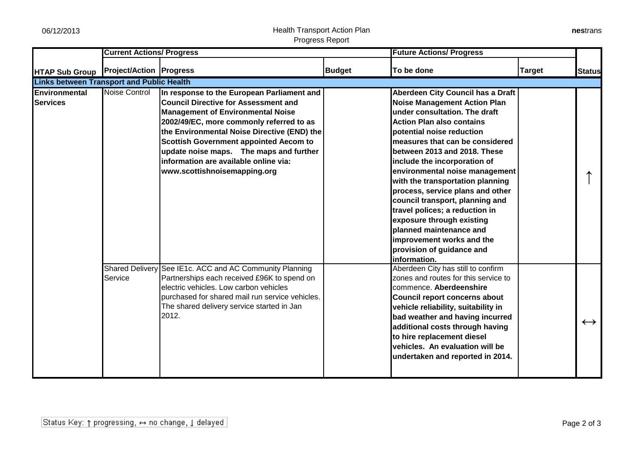## 06/12/2013 Health Transport Action Plan Progress Report

| nestrans |
|----------|
|----------|

|                                                  | <b>Current Actions/ Progress</b> |                                                                                                                                                                                                                                                                                                                                                                                                       |               | <b>Future Actions/ Progress</b>                                                                                                                                                                                                                                                                                                                                                                                                                                                                                                                                                                |               |                   |
|--------------------------------------------------|----------------------------------|-------------------------------------------------------------------------------------------------------------------------------------------------------------------------------------------------------------------------------------------------------------------------------------------------------------------------------------------------------------------------------------------------------|---------------|------------------------------------------------------------------------------------------------------------------------------------------------------------------------------------------------------------------------------------------------------------------------------------------------------------------------------------------------------------------------------------------------------------------------------------------------------------------------------------------------------------------------------------------------------------------------------------------------|---------------|-------------------|
| <b>HTAP Sub Group</b>                            | <b>Project/Action   Progress</b> |                                                                                                                                                                                                                                                                                                                                                                                                       | <b>Budget</b> | To be done                                                                                                                                                                                                                                                                                                                                                                                                                                                                                                                                                                                     | <b>Target</b> | <b>Status</b>     |
| <b>Links between Transport and Public Health</b> |                                  |                                                                                                                                                                                                                                                                                                                                                                                                       |               |                                                                                                                                                                                                                                                                                                                                                                                                                                                                                                                                                                                                |               |                   |
| <b>Environmental</b><br><b>Services</b>          | Noise Control                    | In response to the European Parliament and<br><b>Council Directive for Assessment and</b><br><b>Management of Environmental Noise</b><br>2002/49/EC, more commonly referred to as<br>the Environmental Noise Directive (END) the<br><b>Scottish Government appointed Aecom to</b><br>update noise maps. The maps and further<br>information are available online via:<br>www.scottishnoisemapping.org |               | Aberdeen City Council has a Draft<br><b>Noise Management Action Plan</b><br>under consultation. The draft<br><b>Action Plan also contains</b><br>potential noise reduction<br>measures that can be considered<br>between 2013 and 2018. These<br>include the incorporation of<br>environmental noise management<br>with the transportation planning<br>process, service plans and other<br>council transport, planning and<br>travel polices; a reduction in<br>exposure through existing<br>planned maintenance and<br>improvement works and the<br>provision of guidance and<br>information. |               |                   |
|                                                  | Service                          | Shared Delivery See IE1c. ACC and AC Community Planning<br>Partnerships each received £96K to spend on<br>electric vehicles. Low carbon vehicles<br>purchased for shared mail run service vehicles.<br>The shared delivery service started in Jan<br>2012.                                                                                                                                            |               | Aberdeen City has still to confirm<br>zones and routes for this service to<br>commence. Aberdeenshire<br>Council report concerns about<br>vehicle reliability, suitability in<br>bad weather and having incurred<br>additional costs through having<br>to hire replacement diesel<br>vehicles. An evaluation will be<br>undertaken and reported in 2014.                                                                                                                                                                                                                                       |               | $\leftrightarrow$ |